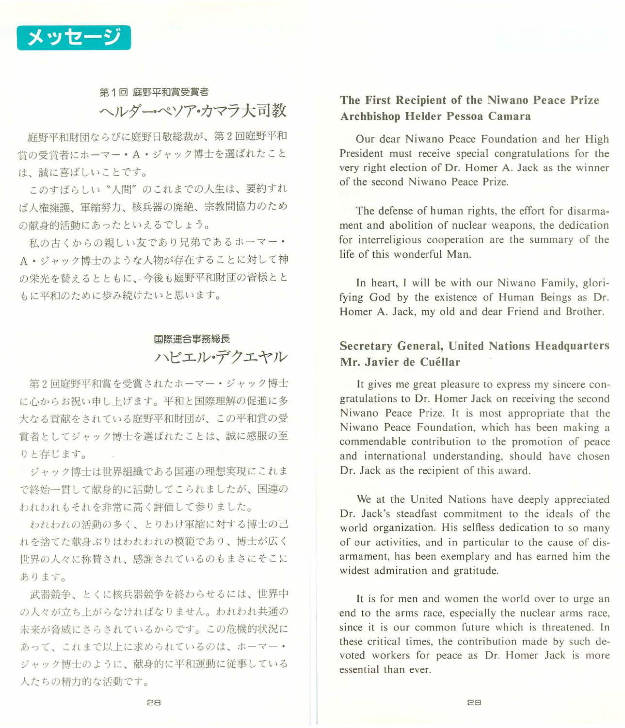

# 第1回 庭野平和賞受賞者 ヘルダーぺソア・カマラ大司教

庭野平和財団ならびに庭野日敬総裁が、第 回庭野平和 台の受合者にホーマー・ A· ジャツク博士を選ばれたこと は、誠に喜ばしいことです。

このすばらしい "人間"のこれまでの人生は、要約すれ ば人権擁護、軍縮努力、核兵器の廃絶、宗教間協力のため の献身的活動にあったといえるでしょう。

私の古くからの親しい友であり兄弟であるホーマー· ・ジャック博士のような人物が存在することに対して神 の栄光を賛えるとともに、今後も庭野平和財団の皆様とと もに平和のために歩み続けたいと思います。

# 国際連合事務総長 ノ\ビエル・デクエヤル

回庭野平和貨を受賞されたホーマー・ジャック博士 に心からお祝い申し上げます。平和と国際理解の促進に多 大なる貢献をされている庭野平和財団が、この平和賞の受 賞者としてジャック博士を選ばれたことは、誠に感服の至 りと存じます。

ジャック博士は世界組織である国連の理想実現にこれま で終始一貫して献身的に活動してこられましたが、国連の われわれもそれを非常に高く評価して参りました。

われわれの活動の多く、とりわけ軍縮に対する博士の己 れを捨てた献身ぶりはわれわれの模範であり、博士が広く 世界の人々に称賛され、感謝されているのもまさにそこに あります。

武器競争、とくに核兵器競争を終わらせるには、世界中 の人々が立ち上がらなければなりません。われわれ共通の 未来が脅威にさらされているからです。この危機的状況に あって、これまで以上に求められているのは、ホーマ ジャック博士のように、献身的に平和運動に従事している 人たちの車内力的な活動です。

#### The First Recipient of the Niwano Peace Prize Archbishop Helder Pessoa Camara

Our dear Niwano Peace Foundation and her High President must receive special congratulations for the very right election of Dr. Homer A. Jack as the winner of the second Niwano Peace Prize.

The defense of human rights, the effort for disarmament and abolition of nuclear weapons, the dedication for interreligious cooperation are the summary of the life of this wonderful Man.

In heart, I will be with our Niwano Family, glorifying God by the existence of Human Beings as Dr. Homer A. Jack, my old and dear Friend and Brother.

### Secretary General, United Nations Headquarters Mr. Javier de Cuéllar

It gives me great pleasure to express my sincere congratulations to Dr. Homer Jack on receiving the second Niwano Peace Prize. It is most appropriate that the Niwano Peace Foundation, which has been making a commendable contribution to the promotion of peace and international understanding, should have chosen Dr. Jack as the recipient of this award.

We at the United Nations have deeply appreciated Dr. Jack's steadfast commitment to the ideals of the world organization. His selfless dedication to so many of our activities, and in particular to the cause of disarmament, has been exemplary and has earned him the widest admiration and gratitude.

It is for men and women the world over to urge an end to the arms race, especially the nuclear arms race, since it is our common future which is threatened. In these critical times, the contribution made by such devoted workers for peace as Dr. Homer Jack is more essential than ever.